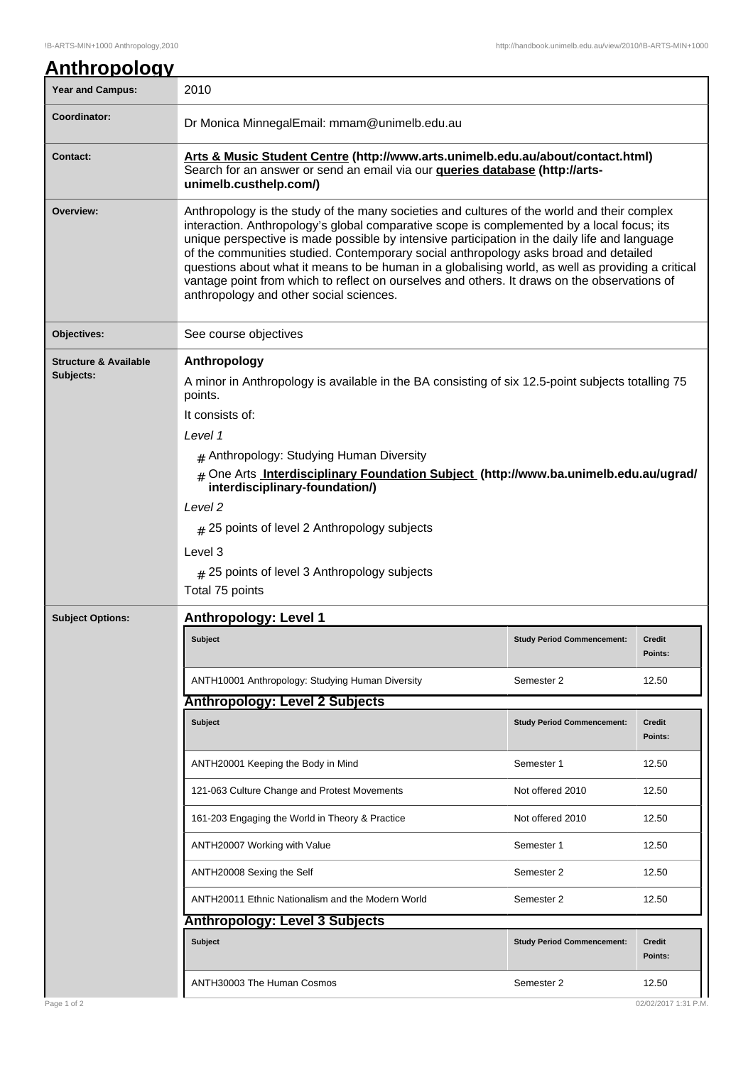| <b>Year and Campus:</b>          | <u>Anthropology</u><br>2010                                                                                                                                                                                                                                                                                                                                                                                                                                                                                                                                                                                                        |                   |  |  |
|----------------------------------|------------------------------------------------------------------------------------------------------------------------------------------------------------------------------------------------------------------------------------------------------------------------------------------------------------------------------------------------------------------------------------------------------------------------------------------------------------------------------------------------------------------------------------------------------------------------------------------------------------------------------------|-------------------|--|--|
| Coordinator:                     | Dr Monica MinnegalEmail: mmam@unimelb.edu.au                                                                                                                                                                                                                                                                                                                                                                                                                                                                                                                                                                                       |                   |  |  |
| <b>Contact:</b>                  | Arts & Music Student Centre (http://www.arts.unimelb.edu.au/about/contact.html)<br>Search for an answer or send an email via our queries database (http://arts-<br>unimelb.custhelp.com/)                                                                                                                                                                                                                                                                                                                                                                                                                                          |                   |  |  |
| Overview:                        | Anthropology is the study of the many societies and cultures of the world and their complex<br>interaction. Anthropology's global comparative scope is complemented by a local focus; its<br>unique perspective is made possible by intensive participation in the daily life and language<br>of the communities studied. Contemporary social anthropology asks broad and detailed<br>questions about what it means to be human in a globalising world, as well as providing a critical<br>vantage point from which to reflect on ourselves and others. It draws on the observations of<br>anthropology and other social sciences. |                   |  |  |
| Objectives:                      | See course objectives                                                                                                                                                                                                                                                                                                                                                                                                                                                                                                                                                                                                              |                   |  |  |
| <b>Structure &amp; Available</b> | Anthropology                                                                                                                                                                                                                                                                                                                                                                                                                                                                                                                                                                                                                       |                   |  |  |
| Subjects:                        | A minor in Anthropology is available in the BA consisting of six 12.5-point subjects totalling 75<br>points.                                                                                                                                                                                                                                                                                                                                                                                                                                                                                                                       |                   |  |  |
|                                  | It consists of:                                                                                                                                                                                                                                                                                                                                                                                                                                                                                                                                                                                                                    |                   |  |  |
|                                  | Level 1                                                                                                                                                                                                                                                                                                                                                                                                                                                                                                                                                                                                                            |                   |  |  |
|                                  | # Anthropology: Studying Human Diversity                                                                                                                                                                                                                                                                                                                                                                                                                                                                                                                                                                                           |                   |  |  |
|                                  | # One Arts Interdisciplinary Foundation Subject (http://www.ba.unimelb.edu.au/ugrad/<br>interdisciplinary-foundation/)                                                                                                                                                                                                                                                                                                                                                                                                                                                                                                             |                   |  |  |
|                                  | Level <sub>2</sub>                                                                                                                                                                                                                                                                                                                                                                                                                                                                                                                                                                                                                 |                   |  |  |
|                                  | # 25 points of level 2 Anthropology subjects                                                                                                                                                                                                                                                                                                                                                                                                                                                                                                                                                                                       |                   |  |  |
|                                  |                                                                                                                                                                                                                                                                                                                                                                                                                                                                                                                                                                                                                                    |                   |  |  |
|                                  | Level 3                                                                                                                                                                                                                                                                                                                                                                                                                                                                                                                                                                                                                            |                   |  |  |
|                                  | # 25 points of level 3 Anthropology subjects                                                                                                                                                                                                                                                                                                                                                                                                                                                                                                                                                                                       |                   |  |  |
|                                  | Total 75 points                                                                                                                                                                                                                                                                                                                                                                                                                                                                                                                                                                                                                    |                   |  |  |
| <b>Subject Options:</b>          | <b>Anthropology: Level 1</b>                                                                                                                                                                                                                                                                                                                                                                                                                                                                                                                                                                                                       |                   |  |  |
|                                  | <b>Subject</b><br><b>Study Period Commencement:</b>                                                                                                                                                                                                                                                                                                                                                                                                                                                                                                                                                                                | Credit<br>Points: |  |  |
|                                  | ANTH10001 Anthropology: Studying Human Diversity<br>Semester 2                                                                                                                                                                                                                                                                                                                                                                                                                                                                                                                                                                     | 12.50             |  |  |
|                                  | <b>Anthropology: Level 2 Subjects</b>                                                                                                                                                                                                                                                                                                                                                                                                                                                                                                                                                                                              |                   |  |  |
|                                  | <b>Subject</b><br><b>Study Period Commencement:</b>                                                                                                                                                                                                                                                                                                                                                                                                                                                                                                                                                                                | Credit<br>Points: |  |  |
|                                  | ANTH20001 Keeping the Body in Mind<br>Semester 1                                                                                                                                                                                                                                                                                                                                                                                                                                                                                                                                                                                   | 12.50             |  |  |
|                                  | 121-063 Culture Change and Protest Movements<br>Not offered 2010                                                                                                                                                                                                                                                                                                                                                                                                                                                                                                                                                                   | 12.50             |  |  |
|                                  | 161-203 Engaging the World in Theory & Practice<br>Not offered 2010                                                                                                                                                                                                                                                                                                                                                                                                                                                                                                                                                                | 12.50             |  |  |
|                                  | ANTH20007 Working with Value<br>Semester 1                                                                                                                                                                                                                                                                                                                                                                                                                                                                                                                                                                                         | 12.50             |  |  |
|                                  | ANTH20008 Sexing the Self<br>Semester 2                                                                                                                                                                                                                                                                                                                                                                                                                                                                                                                                                                                            | 12.50             |  |  |
|                                  | ANTH20011 Ethnic Nationalism and the Modern World<br>Semester 2                                                                                                                                                                                                                                                                                                                                                                                                                                                                                                                                                                    | 12.50             |  |  |
|                                  | <b>Anthropology: Level 3 Subjects</b>                                                                                                                                                                                                                                                                                                                                                                                                                                                                                                                                                                                              |                   |  |  |
|                                  | Subject<br><b>Study Period Commencement:</b>                                                                                                                                                                                                                                                                                                                                                                                                                                                                                                                                                                                       | Credit<br>Points: |  |  |